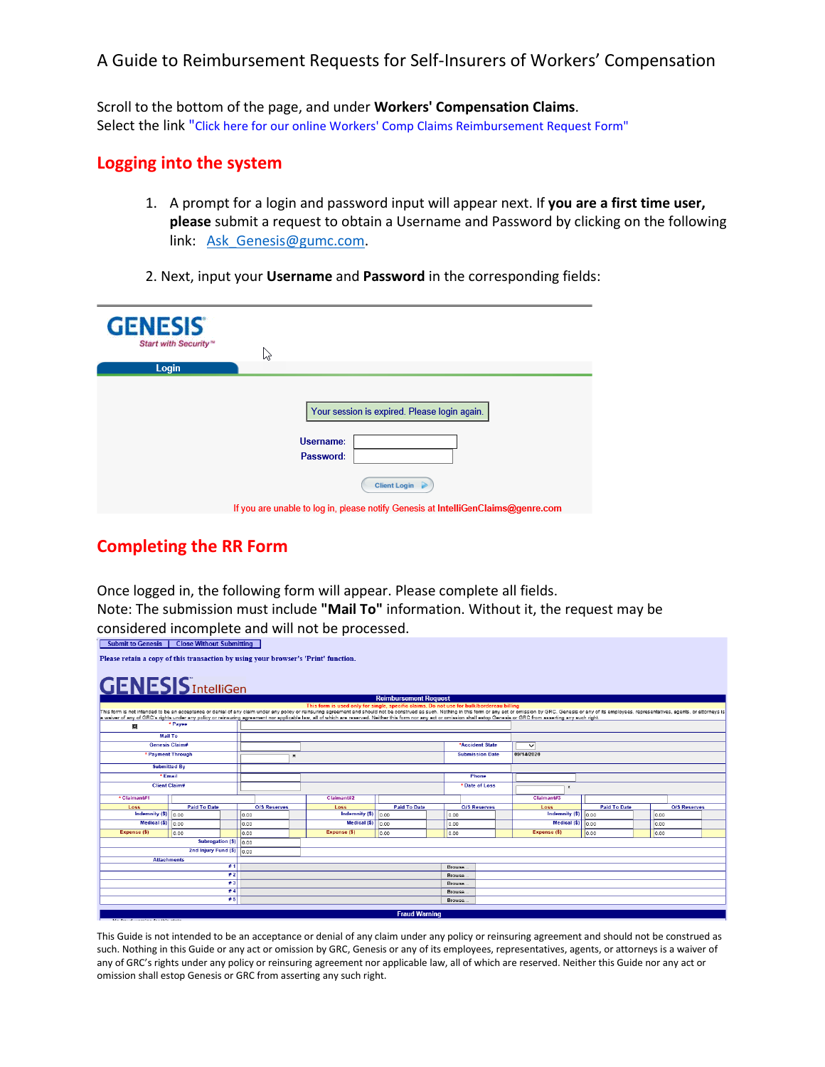Scroll to the bottom of the page, and under **Workers' Compensation Claims**. Select the link "Click here for our online Workers' Comp Claims Reimbursement Request Form"

#### **Logging into the system**

- 1. A prompt for a login and password input will appear next. If **you are a first time user, please** submit a request to obtain a Username and Password by clicking on the following link: [Ask\\_Genesis@gumc.com.](mailto:Ask_Genesis@gumc.com)
- 2. Next, input your **Username** and **Password** in the corresponding fields:

| <b>GENESIS</b><br>Start with Security <sup>ni</sup><br>Login | B                                                                                |
|--------------------------------------------------------------|----------------------------------------------------------------------------------|
|                                                              | Your session is expired. Please login again.<br>Username:                        |
|                                                              | Password:<br>Client Login                                                        |
|                                                              | If you are unable to log in, please notify Genesis at IntelliGenClaims@genre.com |

## **Completing the RR Form**

Once logged in, the following form will appear. Please complete all fields.

Note: The submission must include **"Mail To"** information. Without it, the request may be considered incomplete and will not be processed.

| <b>Close Without Submitting</b><br><b>Submit to Genesis</b>                        |                        |     |                     |                                                                                                                                                                                                                                                                                                                                                                                                                                                                                                                                                            |                              |        |                        |                                |                     |      |                     |  |
|------------------------------------------------------------------------------------|------------------------|-----|---------------------|------------------------------------------------------------------------------------------------------------------------------------------------------------------------------------------------------------------------------------------------------------------------------------------------------------------------------------------------------------------------------------------------------------------------------------------------------------------------------------------------------------------------------------------------------------|------------------------------|--------|------------------------|--------------------------------|---------------------|------|---------------------|--|
| Please retain a copy of this transaction by using your browser's 'Print' function. |                        |     |                     |                                                                                                                                                                                                                                                                                                                                                                                                                                                                                                                                                            |                              |        |                        |                                |                     |      |                     |  |
| <b>GENESIS</b> IntelliGen                                                          |                        |     |                     |                                                                                                                                                                                                                                                                                                                                                                                                                                                                                                                                                            |                              |        |                        |                                |                     |      |                     |  |
|                                                                                    |                        |     |                     |                                                                                                                                                                                                                                                                                                                                                                                                                                                                                                                                                            | <b>Reimbursement Request</b> |        |                        |                                |                     |      |                     |  |
|                                                                                    |                        |     |                     | This form is used only for single, specific claims. Do not use for bulk/bordereau billing<br>This form is not intended to be an acceptance or denial of any claim under any policy or reinsuring agreement and should not be construed as such. Nothing in this form or any act or omission by GRC, Genesis or any of its e<br>a waiver of any of GRC's rights under any policy or reinsuring agreement nor applicable law, all of which are reserved. Neither this form nor any act or omission shall estop Genesis or GRC from asserting any such right. |                              |        |                        |                                |                     |      |                     |  |
| o                                                                                  | * Payee                |     |                     |                                                                                                                                                                                                                                                                                                                                                                                                                                                                                                                                                            |                              |        |                        |                                |                     |      |                     |  |
| <b>Mail To</b>                                                                     |                        |     |                     |                                                                                                                                                                                                                                                                                                                                                                                                                                                                                                                                                            |                              |        |                        |                                |                     |      |                     |  |
| <b>Genesis Claim#</b>                                                              |                        |     |                     |                                                                                                                                                                                                                                                                                                                                                                                                                                                                                                                                                            |                              |        | *Accident State        | $\checkmark$                   |                     |      |                     |  |
| * Payment Through                                                                  |                        |     | w                   |                                                                                                                                                                                                                                                                                                                                                                                                                                                                                                                                                            |                              |        | <b>Submission Date</b> | 09/14/2020                     |                     |      |                     |  |
| <b>Submitted By</b>                                                                |                        |     |                     |                                                                                                                                                                                                                                                                                                                                                                                                                                                                                                                                                            |                              |        |                        |                                |                     |      |                     |  |
| * Email                                                                            |                        |     |                     |                                                                                                                                                                                                                                                                                                                                                                                                                                                                                                                                                            |                              |        | Phone                  |                                |                     |      |                     |  |
| <b>Client Claim#</b>                                                               |                        |     |                     |                                                                                                                                                                                                                                                                                                                                                                                                                                                                                                                                                            |                              |        | * Date of Loss         | ×                              |                     |      |                     |  |
| * Claimant#1                                                                       |                        |     |                     | Claimant#2                                                                                                                                                                                                                                                                                                                                                                                                                                                                                                                                                 |                              |        |                        | Claimant#3                     |                     |      |                     |  |
| Loss                                                                               | <b>Paid To Date</b>    |     | <b>O/S Reserves</b> | Loss                                                                                                                                                                                                                                                                                                                                                                                                                                                                                                                                                       | <b>Paid To Date</b>          |        | <b>O/S Reserves</b>    | Loss                           | <b>Paid To Date</b> |      | <b>O/S Reserves</b> |  |
| Indemnity $(S)$ 0.00                                                               |                        |     | 0.00                | Indemnity (\$)                                                                                                                                                                                                                                                                                                                                                                                                                                                                                                                                             | 0.00                         |        | 0.00                   | Indemnity $($ \$) $ $ 0.00     |                     | 0.00 |                     |  |
| Medical (\$)                                                                       | 0.00                   |     | 0.00                | Medical $(S)$ $\overline{0.00}$                                                                                                                                                                                                                                                                                                                                                                                                                                                                                                                            |                              |        | 0.00                   | Medical $($ math) $ $ $ $ 0.00 |                     | 0.00 |                     |  |
| Expense (\$)                                                                       | 0.00                   |     | 0.00                | Expense (\$)                                                                                                                                                                                                                                                                                                                                                                                                                                                                                                                                               | 0.00                         |        | 0.00                   | Expense (\$)                   | 0.00                | 0.00 |                     |  |
|                                                                                    | Subrogation $(S)$ 0.00 |     |                     |                                                                                                                                                                                                                                                                                                                                                                                                                                                                                                                                                            |                              |        |                        |                                |                     |      |                     |  |
|                                                                                    | 2nd Injury Fund (\$)   |     | 0.00                |                                                                                                                                                                                                                                                                                                                                                                                                                                                                                                                                                            |                              |        |                        |                                |                     |      |                     |  |
| <b>Attachments</b>                                                                 |                        |     |                     |                                                                                                                                                                                                                                                                                                                                                                                                                                                                                                                                                            |                              |        |                        |                                |                     |      |                     |  |
| #1                                                                                 |                        |     |                     |                                                                                                                                                                                                                                                                                                                                                                                                                                                                                                                                                            |                              |        | Browse                 |                                |                     |      |                     |  |
| #2                                                                                 |                        |     |                     |                                                                                                                                                                                                                                                                                                                                                                                                                                                                                                                                                            |                              |        |                        | Browse.                        |                     |      |                     |  |
| #3                                                                                 |                        |     |                     |                                                                                                                                                                                                                                                                                                                                                                                                                                                                                                                                                            |                              | Browse |                        |                                |                     |      |                     |  |
|                                                                                    |                        | #4  |                     |                                                                                                                                                                                                                                                                                                                                                                                                                                                                                                                                                            |                              |        | Browse                 |                                |                     |      |                     |  |
|                                                                                    |                        | # 5 |                     |                                                                                                                                                                                                                                                                                                                                                                                                                                                                                                                                                            |                              |        | Browse                 |                                |                     |      |                     |  |
|                                                                                    |                        |     |                     |                                                                                                                                                                                                                                                                                                                                                                                                                                                                                                                                                            | <b>Fraud Warning</b>         |        |                        |                                |                     |      |                     |  |
| Also depend companies a data this solution                                         |                        |     |                     |                                                                                                                                                                                                                                                                                                                                                                                                                                                                                                                                                            |                              |        |                        |                                |                     |      |                     |  |

This Guide is not intended to be an acceptance or denial of any claim under any policy or reinsuring agreement and should not be construed as such. Nothing in this Guide or any act or omission by GRC, Genesis or any of its employees, representatives, agents, or attorneys is a waiver of any of GRC's rights under any policy or reinsuring agreement nor applicable law, all of which are reserved. Neither this Guide nor any act or omission shall estop Genesis or GRC from asserting any such right.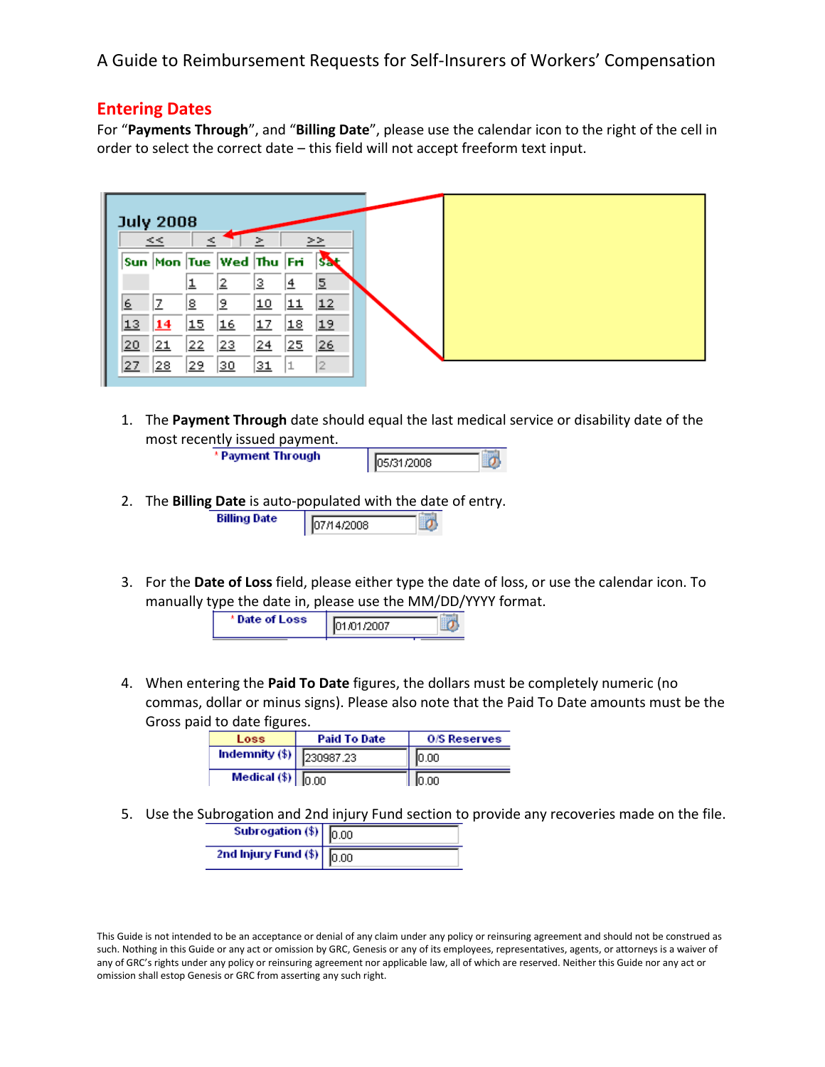#### **Entering Dates**

ш

For "**Payments Through**", and "**Billing Date**", please use the calendar icon to the right of the cell in order to select the correct date – this field will not accept freeform text input.

|          | <b>July 2008</b><br><< |    |                              | ⋗               |    | >>        |  |  |
|----------|------------------------|----|------------------------------|-----------------|----|-----------|--|--|
|          |                        |    | Sun  Mon  Tue  Wed  Thu  Fri |                 |    | <b>SA</b> |  |  |
|          |                        |    | 2                            | 2               | 4  | 2         |  |  |
| <u>6</u> |                        | 8  | 12                           | 10              | 11 | 12        |  |  |
| 13       | 14                     | 15 | 16                           | 17              | 18 | 19        |  |  |
| 20       | 21                     | 22 | 23                           | $^{24}$         | 25 | 26        |  |  |
| 27       | 28                     | 29 | 30                           | $\overline{31}$ |    |           |  |  |

1. The **Payment Through** date should equal the last medical service or disability date of the most recently issued payment.

\* Payment Through

| 15.631.6211118 |  |
|----------------|--|
|                |  |

- 2. The **Billing Date** is auto-populated with the date of entry. **Billing Date** 07/14/2008
- 3. For the **Date of Loss** field, please either type the date of loss, or use the calendar icon. To manually type the date in, please use the MM/DD/YYYY format.



4. When entering the **Paid To Date** figures, the dollars must be completely numeric (no commas, dollar or minus signs). Please also note that the Paid To Date amounts must be the Gross paid to date figures.

| Loss                          | <b>Paid To Date</b> | <b>O/S Reserves</b> |  |  |
|-------------------------------|---------------------|---------------------|--|--|
| Indemnity $(\$)$ 230987.23    |                     | 10.00               |  |  |
| Medical $(\$)$ $\boxed{0.00}$ |                     |                     |  |  |

5. Use the Subrogation and 2nd injury Fund section to provide any recoveries made on the file.

| Subrogation $(\$)$ 0.00             |  |
|-------------------------------------|--|
| 2nd Injury Fund (\$) $\boxed{0.00}$ |  |

This Guide is not intended to be an acceptance or denial of any claim under any policy or reinsuring agreement and should not be construed as such. Nothing in this Guide or any act or omission by GRC, Genesis or any of its employees, representatives, agents, or attorneys is a waiver of any of GRC's rights under any policy or reinsuring agreement nor applicable law, all of which are reserved. Neither this Guide nor any act or omission shall estop Genesis or GRC from asserting any such right.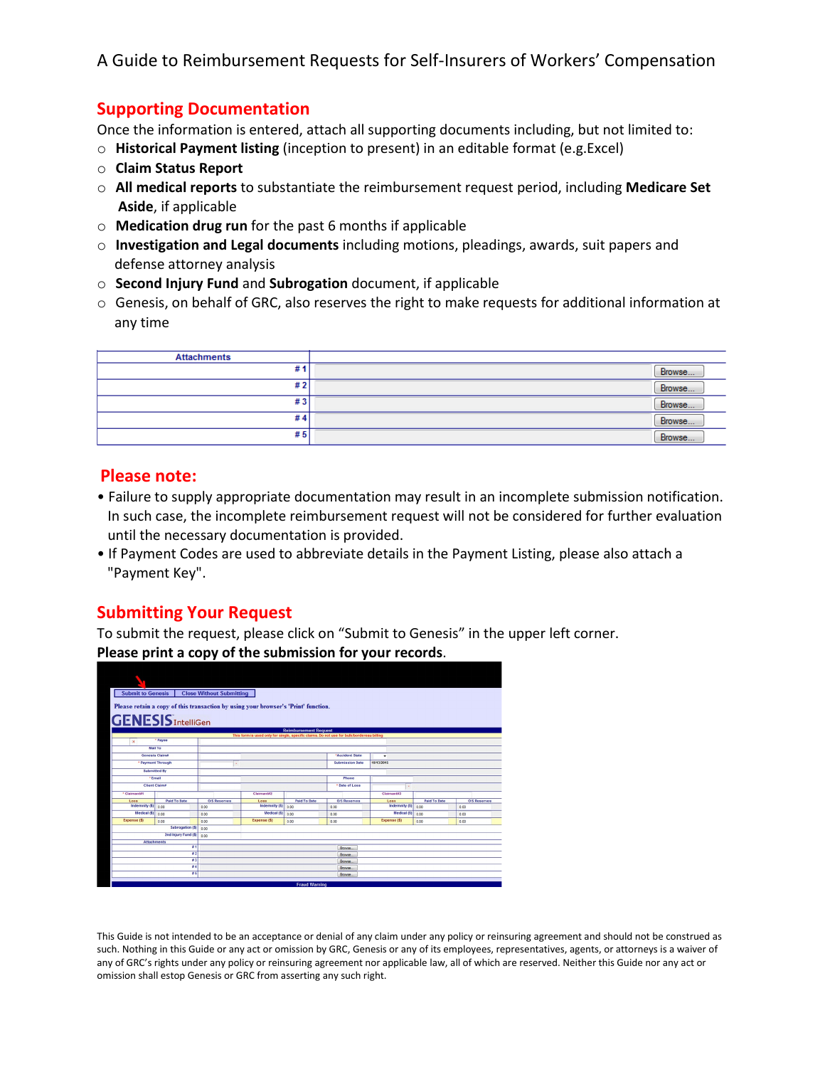## **Supporting Documentation**

Once the information is entered, attach all supporting documents including, but not limited to:

- o **Historical Payment listing** (inception to present) in an editable format (e.g.Excel)
- o **Claim Status Report**
- o **All medical reports** to substantiate the reimbursement request period, including **Medicare Set Aside**, if applicable
- o **Medication drug run** for the past 6 months if applicable
- o **Investigation and Legal documents** including motions, pleadings, awards, suit papers and defense attorney analysis
- o **Second Injury Fund** and **Subrogation** document, if applicable
- o Genesis, on behalf of GRC, also reserves the right to make requests for additional information at any time

| <b>Attachments</b> |        |
|--------------------|--------|
| #'                 | Browse |
| #2                 | Browse |
| #3                 | Browse |
| #4                 | Browse |
| #5                 | Browse |

#### **Please note:**

- Failure to supply appropriate documentation may result in an incomplete submission notification. In such case, the incomplete reimbursement request will not be considered for further evaluation until the necessary documentation is provided.
- If Payment Codes are used to abbreviate details in the Payment Listing, please also attach a "Payment Key".

## **Submitting Your Request**

To submit the request, please click on "Submit to Genesis" in the upper left corner. **Please print a copy of the submission for your records**.



This Guide is not intended to be an acceptance or denial of any claim under any policy or reinsuring agreement and should not be construed as such. Nothing in this Guide or any act or omission by GRC, Genesis or any of its employees, representatives, agents, or attorneys is a waiver of any of GRC's rights under any policy or reinsuring agreement nor applicable law, all of which are reserved. Neither this Guide nor any act or omission shall estop Genesis or GRC from asserting any such right.